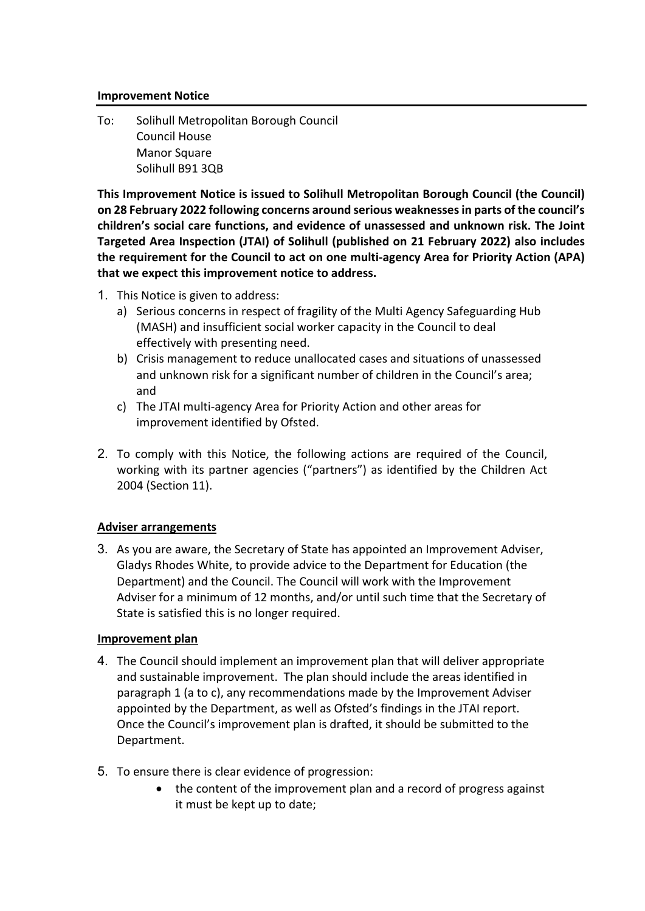### **Improvement Notice**

To: Solihull Metropolitan Borough Council Council House Manor Square Solihull B91 3QB

**This Improvement Notice is issued to Solihull Metropolitan Borough Council (the Council) on 28 February 2022 following concerns around serious weaknesses in parts of the council's children's social care functions, and evidence of unassessed and unknown risk. The Joint Targeted Area Inspection (JTAI) of Solihull (published on 21 February 2022) also includes the requirement for the Council to act on one multi-agency Area for Priority Action (APA) that we expect this improvement notice to address.** 

- 1. This Notice is given to address:
	- a) Serious concerns in respect of fragility of the Multi Agency Safeguarding Hub (MASH) and insufficient social worker capacity in the Council to deal effectively with presenting need.
	- b) Crisis management to reduce unallocated cases and situations of unassessed and unknown risk for a significant number of children in the Council's area; and
	- c) The JTAI multi-agency Area for Priority Action and other areas for improvement identified by Ofsted.
- 2. To comply with this Notice, the following actions are required of the Council, working with its partner agencies ("partners") as identified by the Children Act 2004 (Section 11).

# **Adviser arrangements**

3. As you are aware, the Secretary of State has appointed an Improvement Adviser, Gladys Rhodes White, to provide advice to the Department for Education (the Department) and the Council. The Council will work with the Improvement Adviser for a minimum of 12 months, and/or until such time that the Secretary of State is satisfied this is no longer required.

### **Improvement plan**

- 4. The Council should implement an improvement plan that will deliver appropriate and sustainable improvement. The plan should include the areas identified in paragraph 1 (a to c), any recommendations made by the Improvement Adviser appointed by the Department, as well as Ofsted's findings in the JTAI report. Once the Council's improvement plan is drafted, it should be submitted to the Department.
- 5. To ensure there is clear evidence of progression:
	- the content of the improvement plan and a record of progress against it must be kept up to date;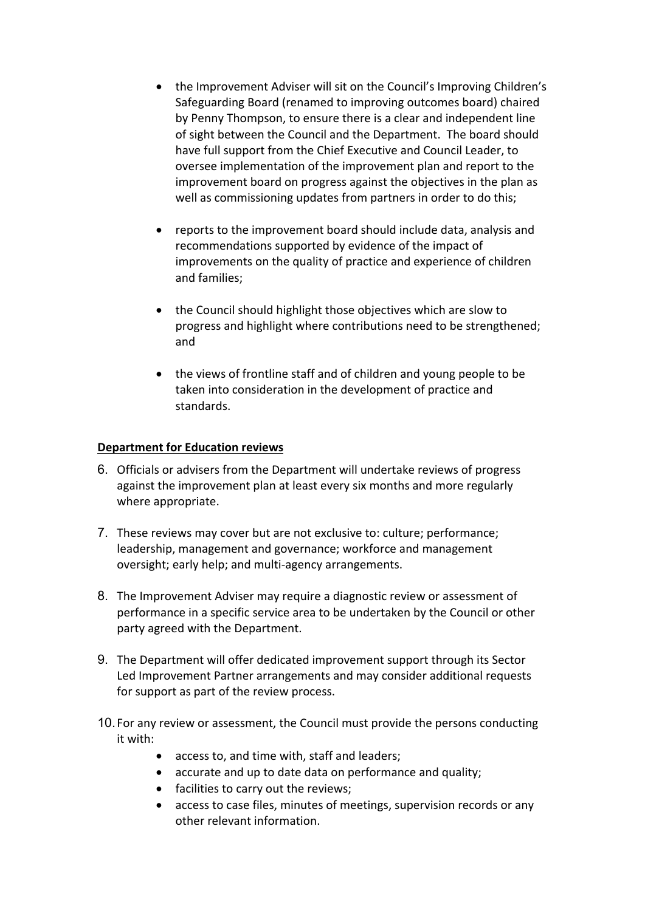- the Improvement Adviser will sit on the Council's Improving Children's Safeguarding Board (renamed to improving outcomes board) chaired by Penny Thompson, to ensure there is a clear and independent line of sight between the Council and the Department. The board should have full support from the Chief Executive and Council Leader, to oversee implementation of the improvement plan and report to the improvement board on progress against the objectives in the plan as well as commissioning updates from partners in order to do this;
- reports to the improvement board should include data, analysis and recommendations supported by evidence of the impact of improvements on the quality of practice and experience of children and families;
- the Council should highlight those objectives which are slow to progress and highlight where contributions need to be strengthened; and
- the views of frontline staff and of children and young people to be taken into consideration in the development of practice and standards.

## **Department for Education reviews**

- 6. Officials or advisers from the Department will undertake reviews of progress against the improvement plan at least every six months and more regularly where appropriate.
- 7. These reviews may cover but are not exclusive to: culture; performance; leadership, management and governance; workforce and management oversight; early help; and multi-agency arrangements.
- 8. The Improvement Adviser may require a diagnostic review or assessment of performance in a specific service area to be undertaken by the Council or other party agreed with the Department.
- 9. The Department will offer dedicated improvement support through its Sector Led Improvement Partner arrangements and may consider additional requests for support as part of the review process.
- 10.For any review or assessment, the Council must provide the persons conducting it with:
	- access to, and time with, staff and leaders;
	- accurate and up to date data on performance and quality;
	- facilities to carry out the reviews;
	- access to case files, minutes of meetings, supervision records or any other relevant information.